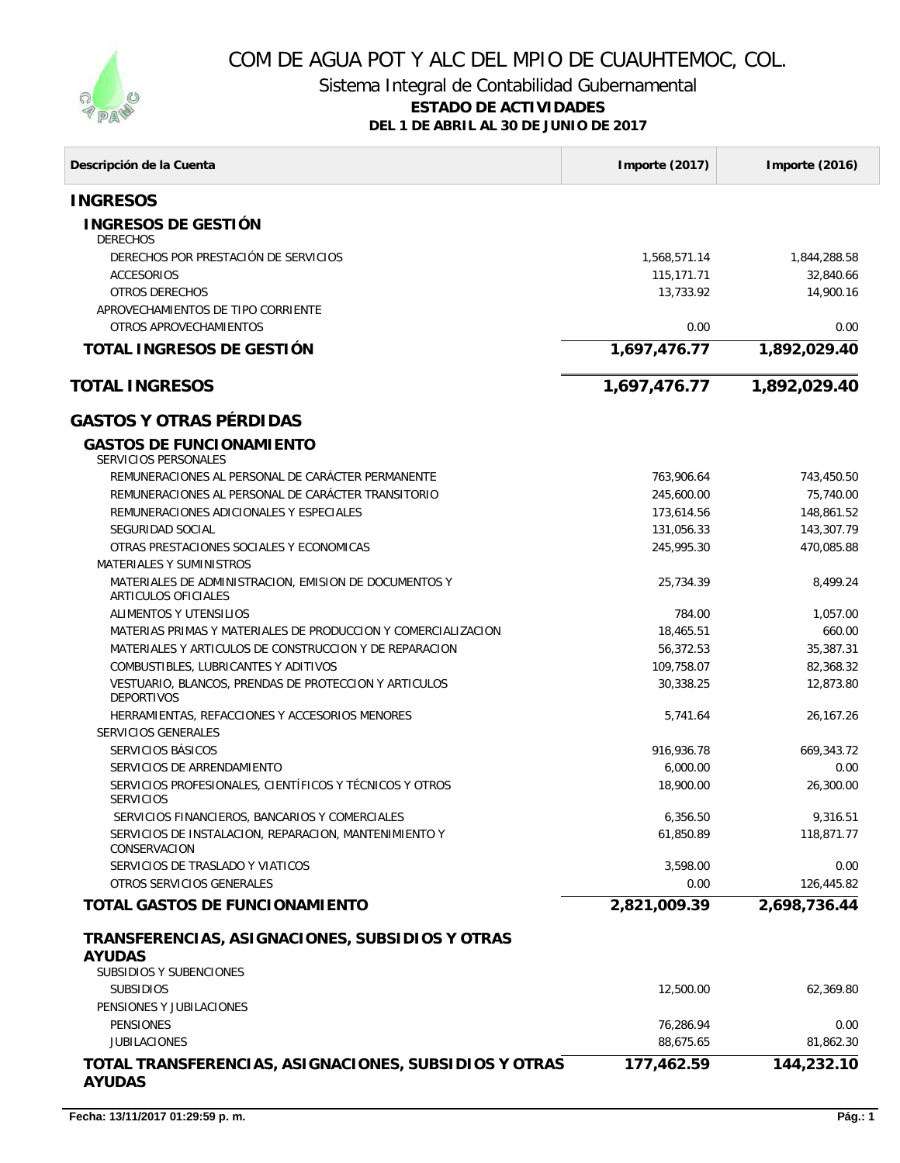

## COM DE AGUA POT Y ALC DEL MPIO DE CUAUHTEMOC, COL.

Sistema Integral de Contabilidad Gubernamental

## **ESTADO DE ACTIVIDADES**

**DEL 1 DE ABRIL AL 30 DE JUNIO DE 2017**

| Descripción de la Cuenta                                                              | Importe (2017) | Importe (2016) |
|---------------------------------------------------------------------------------------|----------------|----------------|
| <b>INGRESOS</b>                                                                       |                |                |
| <b>INGRESOS DE GESTIÓN</b><br><b>DERECHOS</b>                                         |                |                |
| DERECHOS POR PRESTACIÓN DE SERVICIOS                                                  | 1,568,571.14   | 1,844,288.58   |
| <b>ACCESORIOS</b>                                                                     | 115,171.71     | 32,840.66      |
| OTROS DERECHOS                                                                        | 13,733.92      | 14,900.16      |
| APROVECHAMIENTOS DE TIPO CORRIENTE                                                    |                |                |
| OTROS APROVECHAMIENTOS                                                                | 0.00           | 0.00           |
| TOTAL INGRESOS DE GESTIÓN                                                             | 1,697,476.77   | 1,892,029.40   |
| <b>TOTAL INGRESOS</b>                                                                 | 1,697,476.77   | 1,892,029.40   |
| <b>GASTOS Y OTRAS PÉRDIDAS</b>                                                        |                |                |
| <b>GASTOS DE FUNCIONAMIENTO</b><br><b>SERVICIOS PERSONALES</b>                        |                |                |
| REMUNERACIONES AL PERSONAL DE CARÁCTER PERMANENTE                                     | 763,906.64     | 743,450.50     |
| REMUNERACIONES AL PERSONAL DE CARÁCTER TRANSITORIO                                    | 245,600.00     | 75,740.00      |
| REMUNERACIONES ADICIONALES Y ESPECIALES                                               | 173,614.56     | 148,861.52     |
| SEGURIDAD SOCIAL                                                                      | 131.056.33     | 143,307.79     |
| OTRAS PRESTACIONES SOCIALES Y ECONOMICAS                                              | 245,995.30     | 470,085.88     |
| <b>MATERIALES Y SUMINISTROS</b>                                                       |                |                |
| MATERIALES DE ADMINISTRACION, EMISION DE DOCUMENTOS Y<br>ARTICULOS OFICIALES          | 25,734.39      | 8,499.24       |
| <b>ALIMENTOS Y UTENSILIOS</b>                                                         | 784.00         | 1,057.00       |
| MATERIAS PRIMAS Y MATERIALES DE PRODUCCION Y COMERCIALIZACION                         | 18,465.51      | 660.00         |
| MATERIALES Y ARTICULOS DE CONSTRUCCION Y DE REPARACION                                | 56,372.53      | 35,387.31      |
| COMBUSTIBLES, LUBRICANTES Y ADITIVOS                                                  | 109,758.07     | 82,368.32      |
| VESTUARIO, BLANCOS, PRENDAS DE PROTECCION Y ARTICULOS<br><b>DEPORTIVOS</b>            | 30,338.25      | 12,873.80      |
| HERRAMIENTAS, REFACCIONES Y ACCESORIOS MENORES                                        | 5,741.64       | 26,167.26      |
| <b>SERVICIOS GENERALES</b>                                                            |                |                |
| SERVICIOS BÁSICOS                                                                     | 916,936.78     | 669,343.72     |
| SERVICIOS DE ARRENDAMIENTO<br>SERVICIOS PROFESIONALES, CIENTÍFICOS Y TÉCNICOS Y OTROS | 6,000.00       | 0.00           |
| <b>SERVICIOS</b>                                                                      | 18,900.00      | 26,300.00      |
| SERVICIOS FINANCIEROS, BANCARIOS Y COMERCIALES                                        | 6,356.50       | 9,316.51       |
| SERVICIOS DE INSTALACION, REPARACION, MANTENIMIENTO Y<br>CONSERVACION                 | 61,850.89      | 118,871.77     |
| SERVICIOS DE TRASLADO Y VIATICOS                                                      | 3,598.00       | 0.00           |
| OTROS SERVICIOS GENERALES                                                             | 0.00           | 126,445.82     |
| <b>TOTAL GASTOS DE FUNCIONAMIENTO</b>                                                 | 2,821,009.39   | 2,698,736.44   |
| TRANSFERENCIAS, ASIGNACIONES, SUBSIDIOS Y OTRAS<br><b>AYUDAS</b>                      |                |                |
| <b>SUBSIDIOS Y SUBENCIONES</b><br><b>SUBSIDIOS</b>                                    | 12,500.00      | 62,369.80      |
| PENSIONES Y JUBILACIONES                                                              |                |                |
| <b>PENSIONES</b>                                                                      | 76,286.94      | 0.00           |
| <b>JUBILACIONES</b>                                                                   | 88,675.65      | 81,862.30      |
| TOTAL TRANSFERENCIAS, ASIGNACIONES, SUBSIDIOS Y OTRAS                                 | 177,462.59     | 144,232.10     |
| <b>AYUDAS</b>                                                                         |                |                |